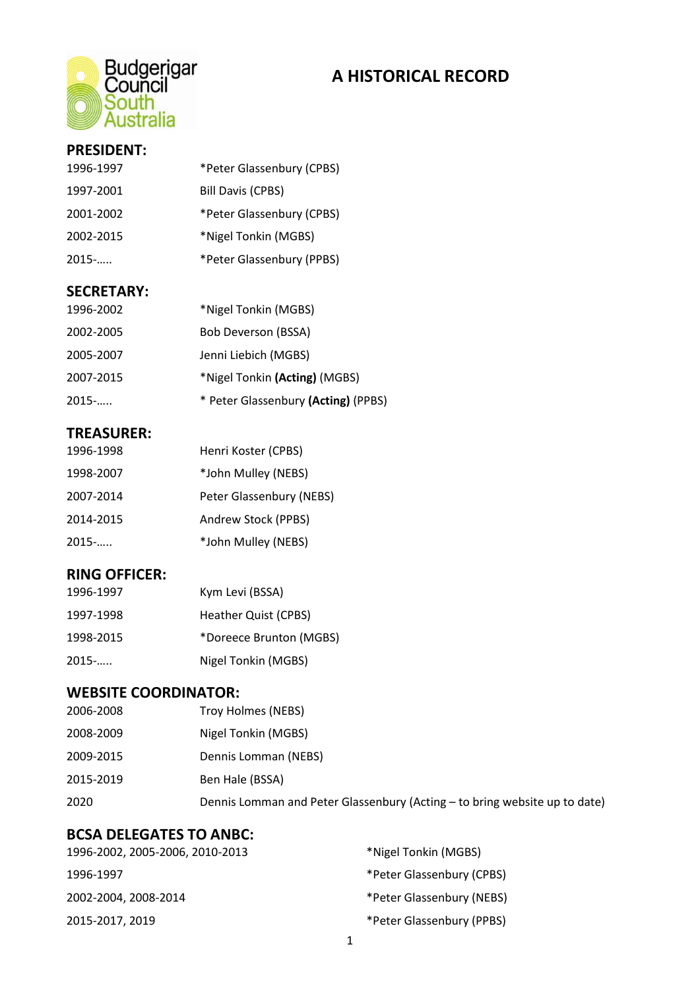

## **A HISTORICAL RECORD**

### **PRESIDENT:**

| 1996-1997 | *Peter Glassenbury (CPBS) |
|-----------|---------------------------|
| 1997-2001 | <b>Bill Davis (CPBS)</b>  |
| 2001-2002 | *Peter Glassenbury (CPBS) |
| 2002-2015 | *Nigel Tonkin (MGBS)      |
| $2015$ -  | *Peter Glassenbury (PPBS) |
|           |                           |

#### **SECRETARY:**

| 1996-2002 | *Nigel Tonkin (MGBS)                |
|-----------|-------------------------------------|
| 2002-2005 | Bob Deverson (BSSA)                 |
| 2005-2007 | Jenni Liebich (MGBS)                |
| 2007-2015 | *Nigel Tonkin (Acting) (MGBS)       |
| $2015$ -  | * Peter Glassenbury (Acting) (PPBS) |

### **TREASURER:**

| 1996-1998 | Henri Koster (CPBS)      |
|-----------|--------------------------|
| 1998-2007 | *John Mulley (NEBS)      |
| 2007-2014 | Peter Glassenbury (NEBS) |
| 2014-2015 | Andrew Stock (PPBS)      |
| $2015$ -  | *John Mulley (NEBS)      |
|           |                          |

### **RING OFFICER:**

| 1996-1997 | Kym Levi (BSSA)         |
|-----------|-------------------------|
| 1997-1998 | Heather Quist (CPBS)    |
| 1998-2015 | *Doreece Brunton (MGBS) |
| $2015$ -  | Nigel Tonkin (MGBS)     |

## **WEBSITE COORDINATOR:**

| 2006-2008 | Troy Holmes (NEBS)                                                         |
|-----------|----------------------------------------------------------------------------|
| 2008-2009 | Nigel Tonkin (MGBS)                                                        |
| 2009-2015 | Dennis Lomman (NEBS)                                                       |
| 2015-2019 | Ben Hale (BSSA)                                                            |
| 2020      | Dennis Lomman and Peter Glassenbury (Acting - to bring website up to date) |
|           |                                                                            |

### **BCSA DELEGATES TO ANBC:**

| 1996-2002, 2005-2006, 2010-2013 | *Nigel Tonkin (MGBS)      |
|---------------------------------|---------------------------|
| 1996-1997                       | *Peter Glassenbury (CPBS) |
| 2002-2004, 2008-2014            | *Peter Glassenbury (NEBS) |
| 2015-2017, 2019                 | *Peter Glassenbury (PPBS) |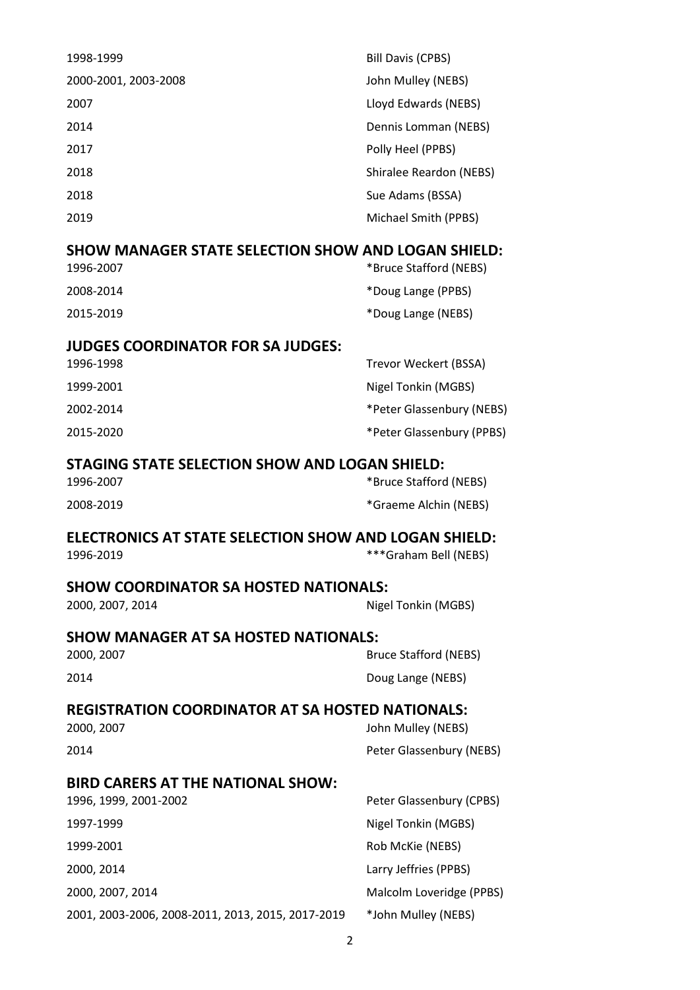| 1998-1999                                                  | Bill Davis (CPBS)       |
|------------------------------------------------------------|-------------------------|
| 2000-2001, 2003-2008                                       | John Mulley (NEBS)      |
| 2007                                                       | Lloyd Edwards (NEBS)    |
| 2014                                                       | Dennis Lomman (NEBS)    |
| 2017                                                       | Polly Heel (PPBS)       |
| 2018                                                       | Shiralee Reardon (NEBS) |
| 2018                                                       | Sue Adams (BSSA)        |
| 2019                                                       | Michael Smith (PPBS)    |
| <b>SHOW MANAGER STATE SELECTION SHOW AND LOGAN SHIELD:</b> |                         |
| 1996-2007                                                  | *Bruce Stafford (NEBS)  |

| 2008-2014 | *Doug Lange (PPBS) |
|-----------|--------------------|
| 2015-2019 | *Doug Lange (NEBS) |

### **JUDGES COORDINATOR FOR SA JUDGES:**

| 1996-1998 | Trevor Weckert (BSSA)     |
|-----------|---------------------------|
| 1999-2001 | Nigel Tonkin (MGBS)       |
| 2002-2014 | *Peter Glassenbury (NEBS) |
| 2015-2020 | *Peter Glassenbury (PPBS) |

### **STAGING STATE SELECTION SHOW AND LOGAN SHIELD:**

| 1996-2007 | *Bruce Stafford (NEBS) |
|-----------|------------------------|
| 2008-2019 | *Graeme Alchin (NEBS)  |

## **ELECTRONICS AT STATE SELECTION SHOW AND LOGAN SHIELD:**

| 1996-2019 |  |
|-----------|--|
|-----------|--|

\*\*\*Graham Bell (NEBS)

## **SHOW COORDINATOR SA HOSTED NATIONALS:**

2000, 2007, 2014 **Nigel Tonkin (MGBS)** 

# **SHOW MANAGER AT SA HOSTED NATIONALS:**

2000, 2007 Bruce Stafford (NEBS) 2014 Doug Lange (NEBS)

### **REGISTRATION COORDINATOR AT SA HOSTED NATIONALS:**

| 2000, 2007 | John Mulley (NEBS)       |
|------------|--------------------------|
| 2014       | Peter Glassenbury (NEBS) |

### **BIRD CARERS AT THE NATIONAL SHOW:**

| 1996, 1999, 2001-2002                             | Peter Glassenbury (CPBS) |
|---------------------------------------------------|--------------------------|
| 1997-1999                                         | Nigel Tonkin (MGBS)      |
| 1999-2001                                         | Rob McKie (NEBS)         |
| 2000, 2014                                        | Larry Jeffries (PPBS)    |
| 2000, 2007, 2014                                  | Malcolm Loveridge (PPBS) |
| 2001, 2003-2006, 2008-2011, 2013, 2015, 2017-2019 | *John Mulley (NEBS)      |